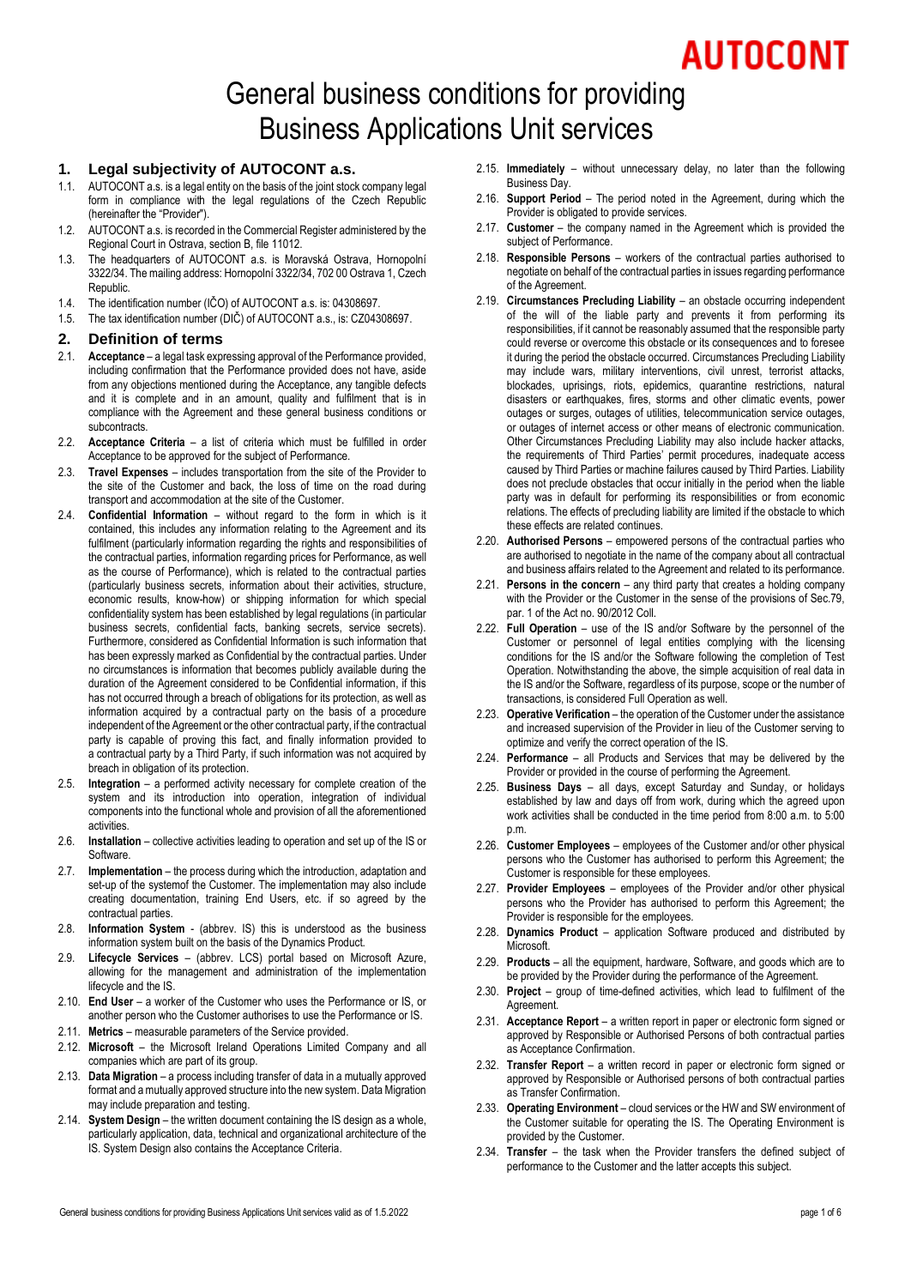# AUTOCONT

# General business conditions for providing Business Applications Unit services

#### **1. Legal subjectivity of AUTOCONT a.s.**

- 1.1. AUTOCONT a.s. is a legal entity on the basis of the joint stock company legal form in compliance with the legal regulations of the Czech Republic (hereinafter the "Provider").
- 1.2. AUTOCONT a.s. is recorded in the Commercial Register administered by the Regional Court in Ostrava, section B, file 11012.
- 1.3. The headquarters of AUTOCONT a.s. is Moravská Ostrava, Hornopolní 3322/34. The mailing address: Hornopolní 3322/34, 702 00 Ostrava 1, Czech Republic.
- 1.4. The identification number (IČO) of AUTOCONT a.s. is: 04308697.
- 1.5. The tax identification number (DIČ) of AUTOCONT a.s., is: CZ04308697.

#### **2. Definition of terms**

- 2.1. **Acceptance**  a legal task expressing approval of the Performance provided, including confirmation that the Performance provided does not have, aside from any objections mentioned during the Acceptance, any tangible defects and it is complete and in an amount, quality and fulfilment that is in compliance with the Agreement and these general business conditions or subcontracts.
- 2.2. **Acceptance Criteria** a list of criteria which must be fulfilled in order Acceptance to be approved for the subject of Performance.
- 2.3. **Travel Expenses** includes transportation from the site of the Provider to the site of the Customer and back, the loss of time on the road during transport and accommodation at the site of the Customer.
- 2.4. **Confidential Information** without regard to the form in which is it contained, this includes any information relating to the Agreement and its fulfilment (particularly information regarding the rights and responsibilities of the contractual parties, information regarding prices for Performance, as well as the course of Performance), which is related to the contractual parties (particularly business secrets, information about their activities, structure, economic results, know-how) or shipping information for which special confidentiality system has been established by legal regulations (in particular business secrets, confidential facts, banking secrets, service secrets). Furthermore, considered as Confidential Information is such information that has been expressly marked as Confidential by the contractual parties. Under no circumstances is information that becomes publicly available during the duration of the Agreement considered to be Confidential information, if this has not occurred through a breach of obligations for its protection, as well as information acquired by a contractual party on the basis of a procedure independent of the Agreement or the other contractual party, if the contractual party is capable of proving this fact, and finally information provided to a contractual party by a Third Party, if such information was not acquired by breach in obligation of its protection.
- 2.5. **Integration** a performed activity necessary for complete creation of the system and its introduction into operation, integration of individual components into the functional whole and provision of all the aforementioned activities.
- 2.6. **Installation** collective activities leading to operation and set up of the IS or Software.
- 2.7. **Implementation** the process during which the introduction, adaptation and set-up of the systemof the Customer. The implementation may also include creating documentation, training End Users, etc. if so agreed by the contractual parties.
- 2.8. **Information System** (abbrev. IS) this is understood as the business information system built on the basis of the Dynamics Product.
- 2.9. **Lifecycle Services** (abbrev. LCS) portal based on Microsoft Azure, allowing for the management and administration of the implementation lifecycle and the IS.
- 2.10. **End User** a worker of the Customer who uses the Performance or IS, or another person who the Customer authorises to use the Performance or IS.
- 2.11. **Metrics** measurable parameters of the Service provided.
- 2.12. **Microsoft** the Microsoft Ireland Operations Limited Company and all companies which are part of its group.
- 2.13. **Data Migration** a process including transfer of data in a mutually approved format and a mutually approved structure into the new system. Data Migration may include preparation and testing.
- 2.14. **System Design** the written document containing the IS design as a whole, particularly application, data, technical and organizational architecture of the IS. System Design also contains the Acceptance Criteria.
- 2.15. **Immediately** without unnecessary delay, no later than the following Business Day.
- 2.16. **Support Period** The period noted in the Agreement, during which the Provider is obligated to provide services.
- 2.17. **Customer** the company named in the Agreement which is provided the subject of Performance.
- 2.18. **Responsible Persons** workers of the contractual parties authorised to negotiate on behalf of the contractual parties in issues regarding performance of the Agreement.
- 2.19. **Circumstances Precluding Liability** an obstacle occurring independent of the will of the liable party and prevents it from performing its responsibilities, if it cannot be reasonably assumed that the responsible party could reverse or overcome this obstacle or its consequences and to foresee it during the period the obstacle occurred. Circumstances Precluding Liability may include wars, military interventions, civil unrest, terrorist attacks, blockades, uprisings, riots, epidemics, quarantine restrictions, natural disasters or earthquakes, fires, storms and other climatic events, power outages or surges, outages of utilities, telecommunication service outages, or outages of internet access or other means of electronic communication. Other Circumstances Precluding Liability may also include hacker attacks, the requirements of Third Parties' permit procedures, inadequate access caused by Third Parties or machine failures caused by Third Parties. Liability does not preclude obstacles that occur initially in the period when the liable party was in default for performing its responsibilities or from economic relations. The effects of precluding liability are limited if the obstacle to which these effects are related continues.
- 2.20. **Authorised Persons** empowered persons of the contractual parties who are authorised to negotiate in the name of the company about all contractual and business affairs related to the Agreement and related to its performance.
- 2.21. **Persons in the concern** any third party that creates a holding company with the Provider or the Customer in the sense of the provisions of Sec.79, par. 1 of the Act no. 90/2012 Coll.
- 2.22. **Full Operation** use of the IS and/or Software by the personnel of the Customer or personnel of legal entities complying with the licensing conditions for the IS and/or the Software following the completion of Test Operation. Notwithstanding the above, the simple acquisition of real data in the IS and/or the Software, regardless of its purpose, scope or the number of transactions, is considered Full Operation as well.
- 2.23. **Operative Verification** the operation of the Customer under the assistance and increased supervision of the Provider in lieu of the Customer serving to optimize and verify the correct operation of the IS.
- 2.24. **Performance** all Products and Services that may be delivered by the Provider or provided in the course of performing the Agreement.
- 2.25. **Business Days** all days, except Saturday and Sunday, or holidays established by law and days off from work, during which the agreed upon work activities shall be conducted in the time period from 8:00 a.m. to 5:00 p.m.
- 2.26. **Customer Employees** employees of the Customer and/or other physical persons who the Customer has authorised to perform this Agreement; the Customer is responsible for these employees.
- 2.27. **Provider Employees** employees of the Provider and/or other physical persons who the Provider has authorised to perform this Agreement; the Provider is responsible for the employees.
- 2.28. **Dynamics Product** application Software produced and distributed by **Microsoft**
- 2.29. **Products** all the equipment, hardware, Software, and goods which are to be provided by the Provider during the performance of the Agreement.
- 2.30. **Project** group of time-defined activities, which lead to fulfilment of the Agreement.
- 2.31. **Acceptance Report** a written report in paper or electronic form signed or approved by Responsible or Authorised Persons of both contractual parties as Acceptance Confirmation.
- 2.32. **Transfer Report** a written record in paper or electronic form signed or approved by Responsible or Authorised persons of both contractual parties as Transfer Confirmation.
- 2.33. **Operating Environment** cloud services or the HW and SW environment of the Customer suitable for operating the IS. The Operating Environment is provided by the Customer.
- 2.34. **Transfer** the task when the Provider transfers the defined subject of performance to the Customer and the latter accepts this subject.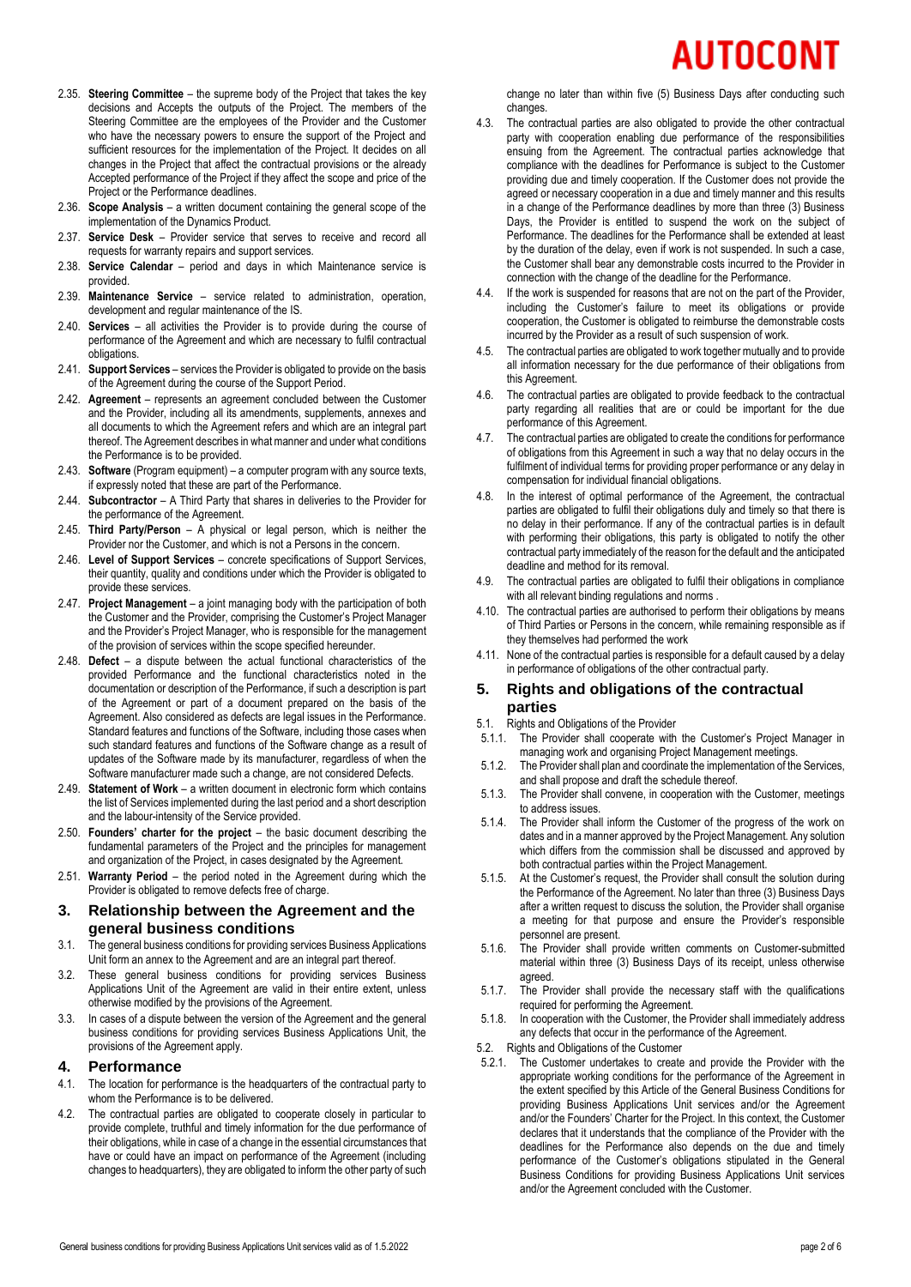# UTOCONT

- 2.35. **Steering Committee** the supreme body of the Project that takes the key decisions and Accepts the outputs of the Project. The members of the Steering Committee are the employees of the Provider and the Customer who have the necessary powers to ensure the support of the Project and sufficient resources for the implementation of the Project. It decides on all changes in the Project that affect the contractual provisions or the already Accepted performance of the Project if they affect the scope and price of the Project or the Performance deadlines.
- 2.36. **Scope Analysis** a written document containing the general scope of the implementation of the Dynamics Product.
- 2.37. **Service Desk** Provider service that serves to receive and record all requests for warranty repairs and support services.
- 2.38. **Service Calendar** period and days in which Maintenance service is provided.
- 2.39. **Maintenance Service** service related to administration, operation, development and regular maintenance of the IS.
- 2.40. **Services** all activities the Provider is to provide during the course of performance of the Agreement and which are necessary to fulfil contractual obligations.
- 2.41. **Support Services** services the Provider is obligated to provide on the basis of the Agreement during the course of the Support Period.
- 2.42. **Agreement** represents an agreement concluded between the Customer and the Provider, including all its amendments, supplements, annexes and all documents to which the Agreement refers and which are an integral part thereof. The Agreement describes in what manner and under what conditions the Performance is to be provided.
- 2.43. **Software** (Program equipment) a computer program with any source texts, if expressly noted that these are part of the Performance.
- 2.44. **Subcontractor** A Third Party that shares in deliveries to the Provider for the performance of the Agreement.
- 2.45. **Third Party/Person** A physical or legal person, which is neither the Provider nor the Customer, and which is not a Persons in the concern.
- 2.46. **Level of Support Services** concrete specifications of Support Services, their quantity, quality and conditions under which the Provider is obligated to provide these services.
- 2.47. **Project Management** a joint managing body with the participation of both the Customer and the Provider, comprising the Customer's Project Manager and the Provider's Project Manager, who is responsible for the management of the provision of services within the scope specified hereunder.
- 2.48. **Defect** a dispute between the actual functional characteristics of the provided Performance and the functional characteristics noted in the documentation or description of the Performance, if such a description is part of the Agreement or part of a document prepared on the basis of the Agreement. Also considered as defects are legal issues in the Performance. Standard features and functions of the Software, including those cases when such standard features and functions of the Software change as a result of updates of the Software made by its manufacturer, regardless of when the Software manufacturer made such a change, are not considered Defects.
- 2.49. **Statement of Work** a written document in electronic form which contains the list of Services implemented during the last period and a short description and the labour-intensity of the Service provided.
- 2.50. **Founders' charter for the project** the basic document describing the fundamental parameters of the Project and the principles for management and organization of the Project, in cases designated by the Agreement.
- 2.51. **Warranty Period** the period noted in the Agreement during which the Provider is obligated to remove defects free of charge.

### **3. Relationship between the Agreement and the general business conditions**

- 3.1. The general business conditions for providing services Business Applications Unit form an annex to the Agreement and are an integral part thereof.
- 3.2. These general business conditions for providing services Business Applications Unit of the Agreement are valid in their entire extent, unless otherwise modified by the provisions of the Agreement.
- 3.3. In cases of a dispute between the version of the Agreement and the general business conditions for providing services Business Applications Unit, the provisions of the Agreement apply.

# <span id="page-1-0"></span>**4. Performance**

- 4.1. The location for performance is the headquarters of the contractual party to whom the Performance is to be delivered.
- 4.2. The contractual parties are obligated to cooperate closely in particular to provide complete, truthful and timely information for the due performance of their obligations, while in case of a change in the essential circumstances that have or could have an impact on performance of the Agreement (including changes to headquarters), they are obligated to inform the other party of such

change no later than within five (5) Business Days after conducting such changes.

- 4.3. The contractual parties are also obligated to provide the other contractual party with cooperation enabling due performance of the responsibilities ensuing from the Agreement. The contractual parties acknowledge that compliance with the deadlines for Performance is subject to the Customer providing due and timely cooperation. If the Customer does not provide the agreed or necessary cooperation in a due and timely manner and this results in a change of the Performance deadlines by more than three (3) Business Days, the Provider is entitled to suspend the work on the subject of Performance. The deadlines for the Performance shall be extended at least by the duration of the delay, even if work is not suspended. In such a case, the Customer shall bear any demonstrable costs incurred to the Provider in connection with the change of the deadline for the Performance.
- 4.4. If the work is suspended for reasons that are not on the part of the Provider, including the Customer's failure to meet its obligations or provide cooperation, the Customer is obligated to reimburse the demonstrable costs incurred by the Provider as a result of such suspension of work.
- The contractual parties are obligated to work together mutually and to provide all information necessary for the due performance of their obligations from this Agreement.
- 4.6. The contractual parties are obligated to provide feedback to the contractual party regarding all realities that are or could be important for the due performance of this Agreement.
- 4.7. The contractual parties are obligated to create the conditions for performance of obligations from this Agreement in such a way that no delay occurs in the fulfilment of individual terms for providing proper performance or any delay in compensation for individual financial obligations.
- 4.8. In the interest of optimal performance of the Agreement, the contractual parties are obligated to fulfil their obligations duly and timely so that there is no delay in their performance. If any of the contractual parties is in default with performing their obligations, this party is obligated to notify the other contractual party immediately of the reason for the default and the anticipated deadline and method for its removal.
- 4.9. The contractual parties are obligated to fulfil their obligations in compliance with all relevant binding regulations and norms.
- 4.10. The contractual parties are authorised to perform their obligations by means of Third Parties or Persons in the concern, while remaining responsible as if they themselves had performed the work
- 4.11. None of the contractual parties is responsible for a default caused by a delay in performance of obligations of the other contractual party.

# **5. Rights and obligations of the contractual parties**

- 5.1. Rights and Obligations of the Provider
- 5.1.1. The Provider shall cooperate with the Customer's Project Manager in managing work and organising Project Management meetings.
- 5.1.2. The Provider shall plan and coordinate the implementation of the Services, and shall propose and draft the schedule thereof.
- 5.1.3. The Provider shall convene, in cooperation with the Customer, meetings to address issues.
- 5.1.4. The Provider shall inform the Customer of the progress of the work on dates and in a manner approved by the Project Management. Any solution which differs from the commission shall be discussed and approved by both contractual parties within the Project Management.
- 5.1.5. At the Customer's request, the Provider shall consult the solution during the Performance of the Agreement. No later than three (3) Business Days after a written request to discuss the solution, the Provider shall organise a meeting for that purpose and ensure the Provider's responsible personnel are present.
- 5.1.6. The Provider shall provide written comments on Customer-submitted material within three (3) Business Days of its receipt, unless otherwise agreed.
- 5.1.7. The Provider shall provide the necessary staff with the qualifications required for performing the Agreement.
- 5.1.8. In cooperation with the Customer, the Provider shall immediately address any defects that occur in the performance of the Agreement.
- 5.2. Rights and Obligations of the Customer
- 5.2.1. The Customer undertakes to create and provide the Provider with the appropriate working conditions for the performance of the Agreement in the extent specified by this Article of the General Business Conditions for providing Business Applications Unit services and/or the Agreement and/or the Founders' Charter for the Project. In this context, the Customer declares that it understands that the compliance of the Provider with the deadlines for the Performance also depends on the due and timely performance of the Customer's obligations stipulated in the General Business Conditions for providing Business Applications Unit services and/or the Agreement concluded with the Customer.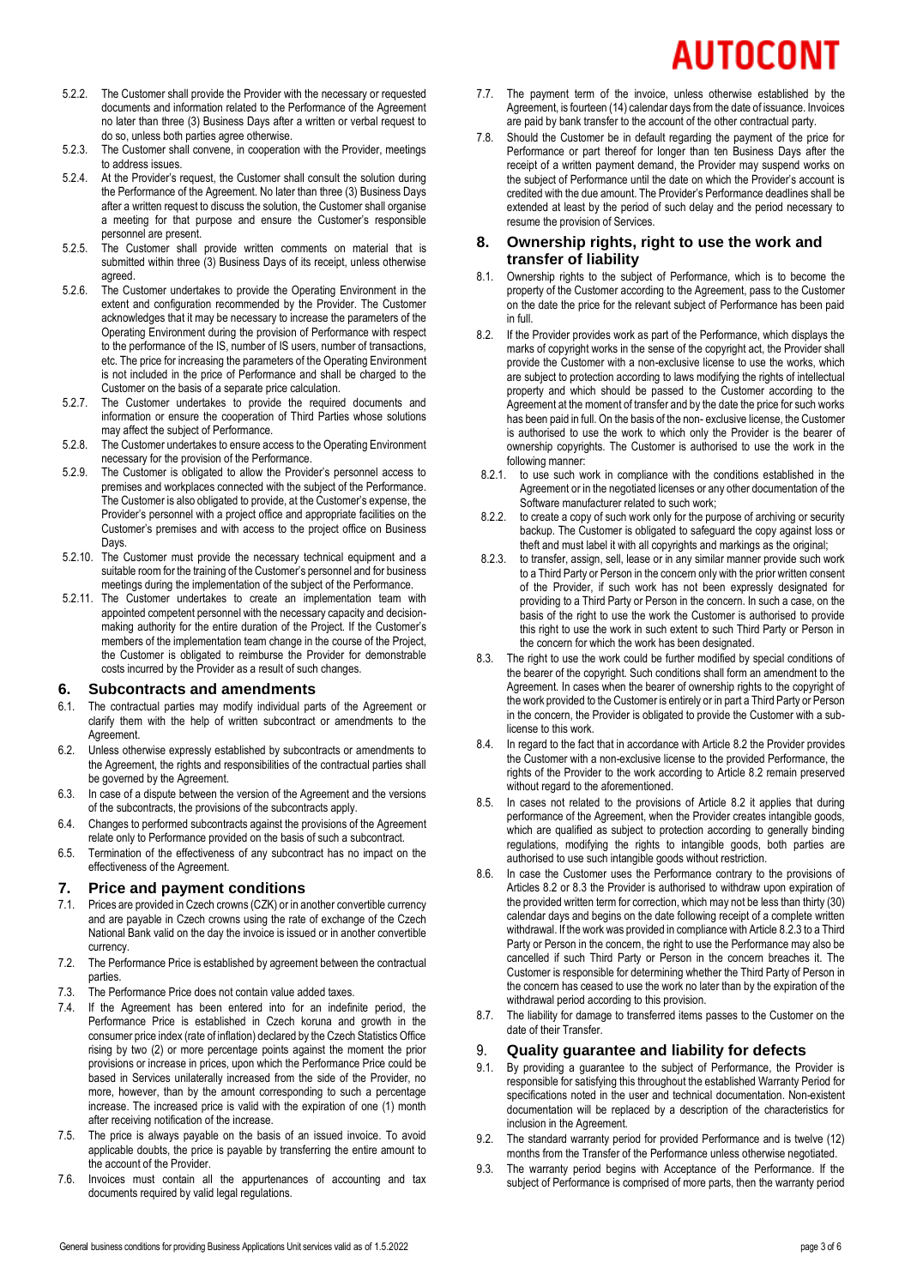# AUTOCONT

- 5.2.2. The Customer shall provide the Provider with the necessary or requested documents and information related to the Performance of the Agreement no later than three (3) Business Days after a written or verbal request to do so, unless both parties agree otherwise.
- 5.2.3. The Customer shall convene, in cooperation with the Provider, meetings to address issues.
- 5.2.4. At the Provider's request, the Customer shall consult the solution during the Performance of the Agreement. No later than three (3) Business Days after a written request to discuss the solution, the Customer shall organise a meeting for that purpose and ensure the Customer's responsible personnel are present.
- 5.2.5. The Customer shall provide written comments on material that is submitted within three (3) Business Days of its receipt, unless otherwise agreed.
- 5.2.6. The Customer undertakes to provide the Operating Environment in the extent and configuration recommended by the Provider. The Customer acknowledges that it may be necessary to increase the parameters of the Operating Environment during the provision of Performance with respect to the performance of the IS, number of IS users, number of transactions, etc. The price for increasing the parameters of the Operating Environment is not included in the price of Performance and shall be charged to the Customer on the basis of a separate price calculation.
- 5.2.7. The Customer undertakes to provide the required documents and information or ensure the cooperation of Third Parties whose solutions may affect the subject of Performance.
- 5.2.8. The Customer undertakes to ensure access to the Operating Environment necessary for the provision of the Performance.
- 5.2.9. The Customer is obligated to allow the Provider's personnel access to premises and workplaces connected with the subject of the Performance. The Customer is also obligated to provide, at the Customer's expense, the Provider's personnel with a project office and appropriate facilities on the Customer's premises and with access to the project office on Business Days.
- 5.2.10. The Customer must provide the necessary technical equipment and a suitable room for the training of the Customer's personnel and for business meetings during the implementation of the subject of the Performance.
- 5.2.11. The Customer undertakes to create an implementation team with appointed competent personnel with the necessary capacity and decisionmaking authority for the entire duration of the Project. If the Customer's members of the implementation team change in the course of the Project, the Customer is obligated to reimburse the Provider for demonstrable costs incurred by the Provider as a result of such changes.

# **6. Subcontracts and amendments**

- 6.1. The contractual parties may modify individual parts of the Agreement or clarify them with the help of written subcontract or amendments to the Agreement.
- 6.2. Unless otherwise expressly established by subcontracts or amendments to the Agreement, the rights and responsibilities of the contractual parties shall be governed by the Agreement.
- 6.3. In case of a dispute between the version of the Agreement and the versions of the subcontracts, the provisions of the subcontracts apply.
- 6.4. Changes to performed subcontracts against the provisions of the Agreement relate only to Performance provided on the basis of such a subcontract.
- 6.5. Termination of the effectiveness of any subcontract has no impact on the effectiveness of the Agreement.

# <span id="page-2-3"></span>**7. Price and payment conditions**

- 7.1. Prices are provided in Czech crowns (CZK) or in another convertible currency and are payable in Czech crowns using the rate of exchange of the Czech National Bank valid on the day the invoice is issued or in another convertible currency.
- 7.2. The Performance Price is established by agreement between the contractual parties.
- 7.3. The Performance Price does not contain value added taxes.
- 7.4. If the Agreement has been entered into for an indefinite period, the Performance Price is established in Czech koruna and growth in the consumer price index (rate of inflation) declared by the Czech Statistics Office rising by two (2) or more percentage points against the moment the prior provisions or increase in prices, upon which the Performance Price could be based in Services unilaterally increased from the side of the Provider, no more, however, than by the amount corresponding to such a percentage increase. The increased price is valid with the expiration of one (1) month after receiving notification of the increase.
- 7.5. The price is always payable on the basis of an issued invoice. To avoid applicable doubts, the price is payable by transferring the entire amount to the account of the Provider.
- 7.6. Invoices must contain all the appurtenances of accounting and tax documents required by valid legal regulations.
- 7.7. The payment term of the invoice, unless otherwise established by the Agreement, is fourteen (14) calendar days from the date of issuance. Invoices are paid by bank transfer to the account of the other contractual party.
- 7.8. Should the Customer be in default regarding the payment of the price for Performance or part thereof for longer than ten Business Days after the receipt of a written payment demand, the Provider may suspend works on the subject of Performance until the date on which the Provider's account is credited with the due amount. The Provider's Performance deadlines shall be extended at least by the period of such delay and the period necessary to resume the provision of Services.

# **8. Ownership rights, right to use the work and transfer of liability**

- 8.1. Ownership rights to the subject of Performance, which is to become the property of the Customer according to the Agreement, pass to the Customer on the date the price for the relevant subject of Performance has been paid in full.
- <span id="page-2-0"></span>8.2. If the Provider provides work as part of the Performance, which displays the marks of copyright works in the sense of the copyright act, the Provider shall provide the Customer with a non-exclusive license to use the works, which are subject to protection according to laws modifying the rights of intellectual property and which should be passed to the Customer according to the Agreement at the moment of transfer and by the date the price for such works has been paid in full. On the basis of the non- exclusive license, the Customer is authorised to use the work to which only the Provider is the bearer of ownership copyrights. The Customer is authorised to use the work in the following manner:<br>8.2.1. to use such we
- to use such work in compliance with the conditions established in the Agreement or in the negotiated licenses or any other documentation of the Software manufacturer related to such work;
- 8.2.2. to create a copy of such work only for the purpose of archiving or security backup. The Customer is obligated to safeguard the copy against loss or theft and must label it with all copyrights and markings as the original;
- <span id="page-2-2"></span>8.2.3. to transfer, assign, sell, lease or in any similar manner provide such work to a Third Party or Person in the concern only with the prior written consent of the Provider, if such work has not been expressly designated for providing to a Third Party or Person in the concern. In such a case, on the basis of the right to use the work the Customer is authorised to provide this right to use the work in such extent to such Third Party or Person in the concern for which the work has been designated.
- <span id="page-2-1"></span>8.3. The right to use the work could be further modified by special conditions of the bearer of the copyright. Such conditions shall form an amendment to the Agreement. In cases when the bearer of ownership rights to the copyright of the work provided to the Customer is entirely or in part a Third Party or Person in the concern, the Provider is obligated to provide the Customer with a sublicense to this work.
- 8.4. In regard to the fact that in accordance with Article [8.2](#page-2-0) the Provider provides the Customer with a non-exclusive license to the provided Performance, the rights of the Provider to the work according to Article [8.2](#page-2-0) remain preserved without regard to the aforementioned.
- 8.5. In cases not related to the provisions of Article [8.2](#page-2-0) it applies that during performance of the Agreement, when the Provider creates intangible goods, which are qualified as subject to protection according to generally binding regulations, modifying the rights to intangible goods, both parties are authorised to use such intangible goods without restriction.
- 8.6. In case the Customer uses the Performance contrary to the provisions of Article[s 8.2](#page-2-0) or [8.3](#page-2-1) the Provider is authorised to withdraw upon expiration of the provided written term for correction, which may not be less than thirty (30) calendar days and begins on the date following receipt of a complete written withdrawal. If the work was provided in compliance with Articl[e 8.2.3](#page-2-2) to a Third Party or Person in the concern, the right to use the Performance may also be cancelled if such Third Party or Person in the concern breaches it. The Customer is responsible for determining whether the Third Party of Person in the concern has ceased to use the work no later than by the expiration of the withdrawal period according to this provision.
- 8.7. The liability for damage to transferred items passes to the Customer on the date of their Transfer.

# 9. **Quality guarantee and liability for defects**

- 9.1. By providing a guarantee to the subject of Performance, the Provider is responsible for satisfying this throughout the established Warranty Period for specifications noted in the user and technical documentation. Non-existent documentation will be replaced by a description of the characteristics for inclusion in the Agreement.
- 9.2. The standard warranty period for provided Performance and is twelve (12) months from the Transfer of the Performance unless otherwise negotiated.
- 9.3. The warranty period begins with Acceptance of the Performance. If the subject of Performance is comprised of more parts, then the warranty period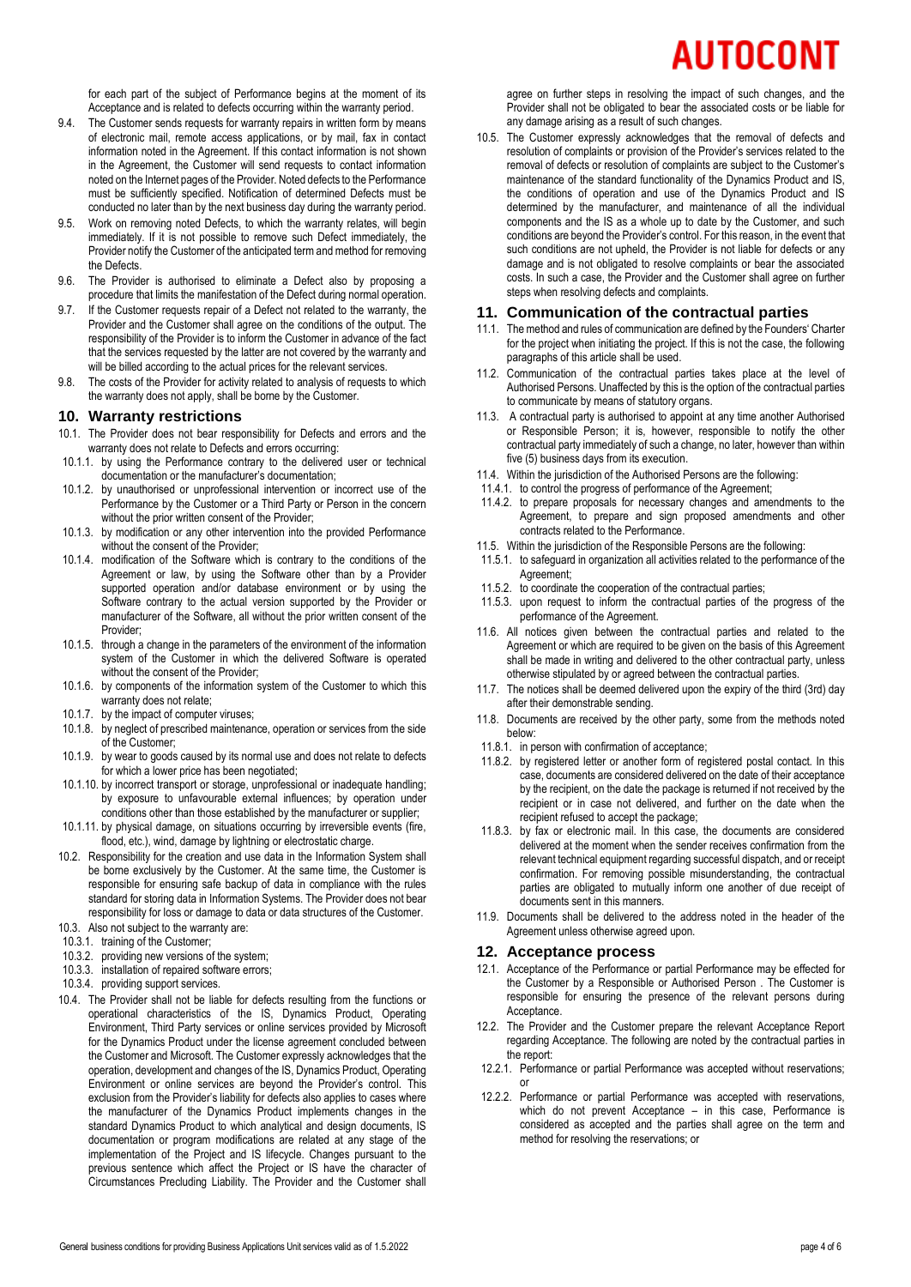# AUTOCONT

for each part of the subject of Performance begins at the moment of its Acceptance and is related to defects occurring within the warranty period.

- 9.4. The Customer sends requests for warranty repairs in written form by means of electronic mail, remote access applications, or by mail, fax in contact information noted in the Agreement. If this contact information is not shown in the Agreement, the Customer will send requests to contact information noted on the Internet pages of the Provider. Noted defects to the Performance must be sufficiently specified. Notification of determined Defects must be conducted no later than by the next business day during the warranty period.
- 9.5. Work on removing noted Defects, to which the warranty relates, will begin immediately. If it is not possible to remove such Defect immediately, the Provider notify the Customer of the anticipated term and method for removing the Defects.
- 9.6. The Provider is authorised to eliminate a Defect also by proposing a procedure that limits the manifestation of the Defect during normal operation.
- 9.7. If the Customer requests repair of a Defect not related to the warranty, the Provider and the Customer shall agree on the conditions of the output. The responsibility of the Provider is to inform the Customer in advance of the fact that the services requested by the latter are not covered by the warranty and will be billed according to the actual prices for the relevant services.
- 9.8. The costs of the Provider for activity related to analysis of requests to which the warranty does not apply, shall be borne by the Customer.

#### **10. Warranty restrictions**

- 10.1. The Provider does not bear responsibility for Defects and errors and the warranty does not relate to Defects and errors occurring:
- 10.1.1. by using the Performance contrary to the delivered user or technical documentation or the manufacturer's documentation;
- 10.1.2. by unauthorised or unprofessional intervention or incorrect use of the Performance by the Customer or a Third Party or Person in the concern without the prior written consent of the Provider;
- 10.1.3. by modification or any other intervention into the provided Performance without the consent of the Provider;
- 10.1.4. modification of the Software which is contrary to the conditions of the Agreement or law, by using the Software other than by a Provider supported operation and/or database environment or by using the Software contrary to the actual version supported by the Provider or manufacturer of the Software, all without the prior written consent of the Provider;
- 10.1.5. through a change in the parameters of the environment of the information system of the Customer in which the delivered Software is operated without the consent of the Provider;
- 10.1.6. by components of the information system of the Customer to which this warranty does not relate;
- 10.1.7. by the impact of computer viruses;
- 10.1.8. by neglect of prescribed maintenance, operation or services from the side of the Customer;
- 10.1.9. by wear to goods caused by its normal use and does not relate to defects for which a lower price has been negotiated;
- 10.1.10. by incorrect transport or storage, unprofessional or inadequate handling; by exposure to unfavourable external influences; by operation under conditions other than those established by the manufacturer or supplier;
- 10.1.11. by physical damage, on situations occurring by irreversible events (fire, flood, etc.), wind, damage by lightning or electrostatic charge.
- 10.2. Responsibility for the creation and use data in the Information System shall be borne exclusively by the Customer. At the same time, the Customer is responsible for ensuring safe backup of data in compliance with the rules standard for storing data in Information Systems. The Provider does not bear responsibility for loss or damage to data or data structures of the Customer.
- 10.3. Also not subject to the warranty are:
- 10.3.1. training of the Customer;
- 10.3.2. providing new versions of the system;
- 10.3.3. installation of repaired software errors;
- 10.3.4. providing support services.
- 10.4. The Provider shall not be liable for defects resulting from the functions or operational characteristics of the IS, Dynamics Product, Operating Environment, Third Party services or online services provided by Microsoft for the Dynamics Product under the license agreement concluded between the Customer and Microsoft. The Customer expressly acknowledges that the operation, development and changes of the IS, Dynamics Product, Operating Environment or online services are beyond the Provider's control. This exclusion from the Provider's liability for defects also applies to cases where the manufacturer of the Dynamics Product implements changes in the standard Dynamics Product to which analytical and design documents, IS documentation or program modifications are related at any stage of the implementation of the Project and IS lifecycle. Changes pursuant to the previous sentence which affect the Project or IS have the character of Circumstances Precluding Liability. The Provider and the Customer shall

agree on further steps in resolving the impact of such changes, and the Provider shall not be obligated to bear the associated costs or be liable for any damage arising as a result of such changes.

10.5. The Customer expressly acknowledges that the removal of defects and resolution of complaints or provision of the Provider's services related to the removal of defects or resolution of complaints are subject to the Customer's maintenance of the standard functionality of the Dynamics Product and IS, the conditions of operation and use of the Dynamics Product and IS determined by the manufacturer, and maintenance of all the individual components and the IS as a whole up to date by the Customer, and such conditions are beyond the Provider's control. For this reason, in the event that such conditions are not upheld, the Provider is not liable for defects or any damage and is not obligated to resolve complaints or bear the associated costs. In such a case, the Provider and the Customer shall agree on further steps when resolving defects and complaints.

#### **11. Communication of the contractual parties**

- 11.1. The method and rules of communication are defined by the Founders' Charter for the project when initiating the project. If this is not the case, the following paragraphs of this article shall be used.
- 11.2. Communication of the contractual parties takes place at the level of Authorised Persons. Unaffected by this is the option of the contractual parties to communicate by means of statutory organs.
- 11.3. A contractual party is authorised to appoint at any time another Authorised or Responsible Person; it is, however, responsible to notify the other contractual party immediately of such a change, no later, however than within five (5) business days from its execution.
- 11.4. Within the jurisdiction of the Authorised Persons are the following:
- 11.4.1. to control the progress of performance of the Agreement;
- 11.4.2. to prepare proposals for necessary changes and amendments to the Agreement, to prepare and sign proposed amendments and other contracts related to the Performance.
- 11.5. Within the jurisdiction of the Responsible Persons are the following:
- 11.5.1. to safeguard in organization all activities related to the performance of the Agreement;
- 11.5.2. to coordinate the cooperation of the contractual parties;
- 11.5.3. upon request to inform the contractual parties of the progress of the performance of the Agreement.
- 11.6. All notices given between the contractual parties and related to the Agreement or which are required to be given on the basis of this Agreement shall be made in writing and delivered to the other contractual party, unless otherwise stipulated by or agreed between the contractual parties.
- 11.7. The notices shall be deemed delivered upon the expiry of the third (3rd) day after their demonstrable sending.
- 11.8. Documents are received by the other party, some from the methods noted below:
- 11.8.1. in person with confirmation of acceptance;
- 11.8.2. by registered letter or another form of registered postal contact. In this case, documents are considered delivered on the date of their acceptance by the recipient, on the date the package is returned if not received by the recipient or in case not delivered, and further on the date when the recipient refused to accept the package;
- 11.8.3. by fax or electronic mail. In this case, the documents are considered delivered at the moment when the sender receives confirmation from the relevant technical equipment regarding successful dispatch, and or receipt confirmation. For removing possible misunderstanding, the contractual parties are obligated to mutually inform one another of due receipt of documents sent in this manners.
- 11.9. Documents shall be delivered to the address noted in the header of the Agreement unless otherwise agreed upon.

#### **12. Acceptance process**

- 12.1. Acceptance of the Performance or partial Performance may be effected for the Customer by a Responsible or Authorised Person . The Customer is responsible for ensuring the presence of the relevant persons during Acceptance.
- 12.2. The Provider and the Customer prepare the relevant Acceptance Report regarding Acceptance. The following are noted by the contractual parties in the report:
- 12.2.1. Performance or partial Performance was accepted without reservations; or
- 12.2.2. Performance or partial Performance was accepted with reservations, which do not prevent Acceptance – in this case, Performance is considered as accepted and the parties shall agree on the term and method for resolving the reservations; or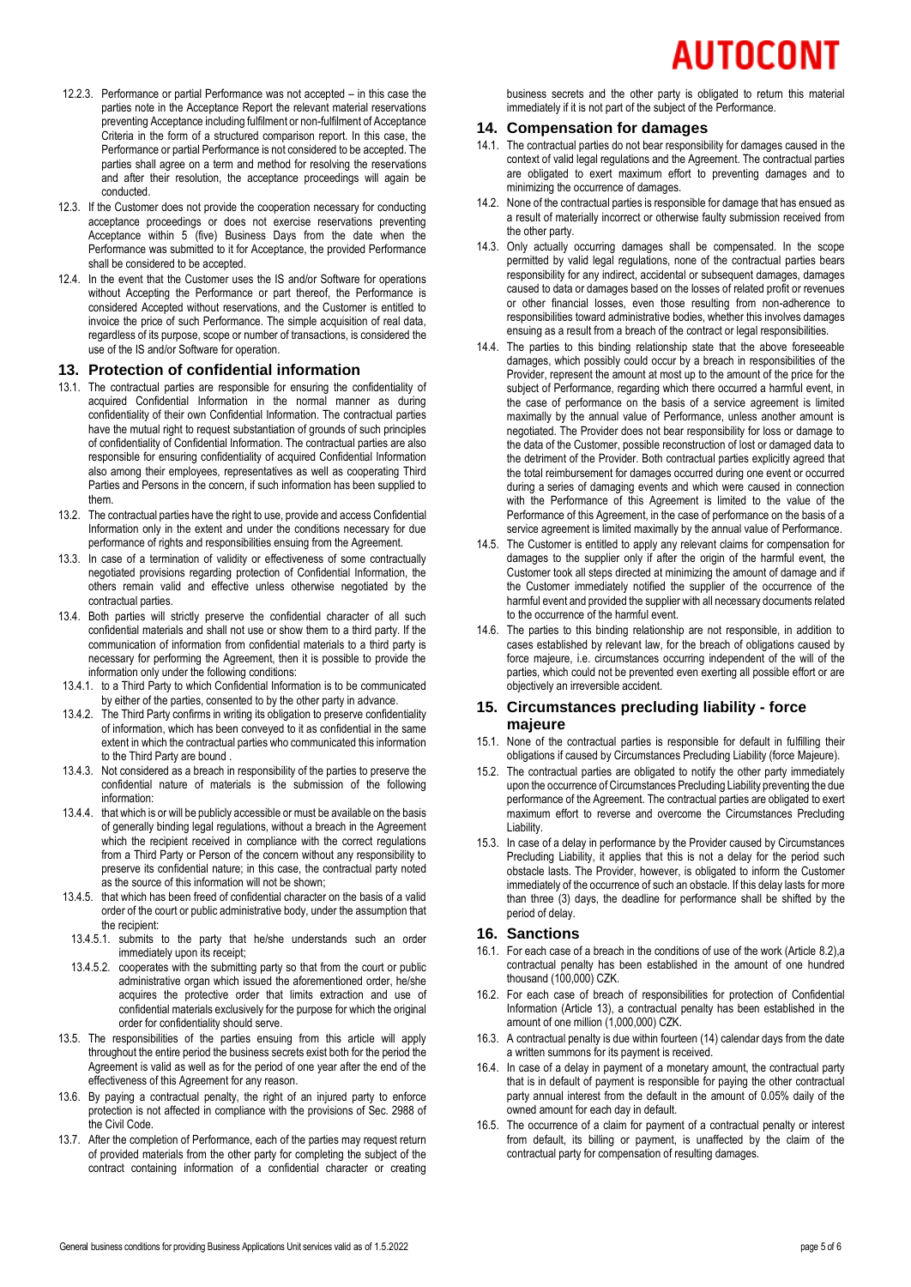- 12.2.3. Performance or partial Performance was not accepted in this case the parties note in the Acceptance Report the relevant material reservations preventing Acceptance including fulfilment or non-fulfilment of Acceptance Criteria in the form of a structured comparison report. In this case, the Performance or partial Performance is not considered to be accepted. The parties shall agree on a term and method for resolving the reservations and after their resolution, the acceptance proceedings will again be conducted.
- 12.3. If the Customer does not provide the cooperation necessary for conducting acceptance proceedings or does not exercise reservations preventing Acceptance within 5 (five) Business Days from the date when the Performance was submitted to it for Acceptance, the provided Performance shall be considered to be accepted.
- 12.4. In the event that the Customer uses the IS and/or Software for operations without Accepting the Performance or part thereof, the Performance is considered Accepted without reservations, and the Customer is entitled to invoice the price of such Performance. The simple acquisition of real data, regardless of its purpose, scope or number of transactions, is considered the use of the IS and/or Software for operation.

### <span id="page-4-0"></span>**13. Protection of confidential information**

- 13.1. The contractual parties are responsible for ensuring the confidentiality of acquired Confidential Information in the normal manner as during confidentiality of their own Confidential Information. The contractual parties have the mutual right to request substantiation of grounds of such principles of confidentiality of Confidential Information. The contractual parties are also responsible for ensuring confidentiality of acquired Confidential Information also among their employees, representatives as well as cooperating Third Parties and Persons in the concern, if such information has been supplied to them.
- 13.2. The contractual parties have the right to use, provide and access Confidential Information only in the extent and under the conditions necessary for due performance of rights and responsibilities ensuing from the Agreement.
- 13.3. In case of a termination of validity or effectiveness of some contractually negotiated provisions regarding protection of Confidential Information, the others remain valid and effective unless otherwise negotiated by the contractual parties.
- 13.4. Both parties will strictly preserve the confidential character of all such confidential materials and shall not use or show them to a third party. If the communication of information from confidential materials to a third party is necessary for performing the Agreement, then it is possible to provide the information only under the following conditions:
- 13.4.1. to a Third Party to which Confidential Information is to be communicated by either of the parties, consented to by the other party in advance.
- 13.4.2. The Third Party confirms in writing its obligation to preserve confidentiality of information, which has been conveyed to it as confidential in the same extent in which the contractual parties who communicated this information to the Third Party are bound .
- 13.4.3. Not considered as a breach in responsibility of the parties to preserve the confidential nature of materials is the submission of the following information:
- 13.4.4. that which is or will be publicly accessible or must be available on the basis of generally binding legal regulations, without a breach in the Agreement which the recipient received in compliance with the correct regulations from a Third Party or Person of the concern without any responsibility to preserve its confidential nature; in this case, the contractual party noted as the source of this information will not be shown;
- 13.4.5. that which has been freed of confidential character on the basis of a valid order of the court or public administrative body, under the assumption that the recipient:
- 13.4.5.1. submits to the party that he/she understands such an order immediately upon its receipt;
- 13.4.5.2. cooperates with the submitting party so that from the court or public administrative organ which issued the aforementioned order, he/she acquires the protective order that limits extraction and use of confidential materials exclusively for the purpose for which the original order for confidentiality should serve.
- 13.5. The responsibilities of the parties ensuing from this article will apply throughout the entire period the business secrets exist both for the period the Agreement is valid as well as for the period of one year after the end of the effectiveness of this Agreement for any reason.
- 13.6. By paying a contractual penalty, the right of an injured party to enforce protection is not affected in compliance with the provisions of Sec. 2988 of the Civil Code.
- 13.7. After the completion of Performance, each of the parties may request return of provided materials from the other party for completing the subject of the contract containing information of a confidential character or creating

business secrets and the other party is obligated to return this material immediately if it is not part of the subject of the Performance.

### <span id="page-4-1"></span>**14. Compensation for damages**

- 14.1. The contractual parties do not bear responsibility for damages caused in the context of valid legal regulations and the Agreement. The contractual parties are obligated to exert maximum effort to preventing damages and to minimizing the occurrence of damages.
- 14.2. None of the contractual parties is responsible for damage that has ensued as a result of materially incorrect or otherwise faulty submission received from the other party.
- 14.3. Only actually occurring damages shall be compensated. In the scope permitted by valid legal regulations, none of the contractual parties bears responsibility for any indirect, accidental or subsequent damages, damages caused to data or damages based on the losses of related profit or revenues or other financial losses, even those resulting from non-adherence to responsibilities toward administrative bodies, whether this involves damages ensuing as a result from a breach of the contract or legal responsibilities.
- 14.4. The parties to this binding relationship state that the above foreseeable damages, which possibly could occur by a breach in responsibilities of the Provider, represent the amount at most up to the amount of the price for the subject of Performance, regarding which there occurred a harmful event, in the case of performance on the basis of a service agreement is limited maximally by the annual value of Performance, unless another amount is negotiated. The Provider does not bear responsibility for loss or damage to the data of the Customer, possible reconstruction of lost or damaged data to the detriment of the Provider. Both contractual parties explicitly agreed that the total reimbursement for damages occurred during one event or occurred during a series of damaging events and which were caused in connection with the Performance of this Agreement is limited to the value of the Performance of this Agreement, in the case of performance on the basis of a service agreement is limited maximally by the annual value of Performance.
- 14.5. The Customer is entitled to apply any relevant claims for compensation for damages to the supplier only if after the origin of the harmful event, the Customer took all steps directed at minimizing the amount of damage and if the Customer immediately notified the supplier of the occurrence of the harmful event and provided the supplier with all necessary documents related to the occurrence of the harmful event.
- 14.6. The parties to this binding relationship are not responsible, in addition to cases established by relevant law, for the breach of obligations caused by force majeure, i.e. circumstances occurring independent of the will of the parties, which could not be prevented even exerting all possible effort or are objectively an irreversible accident.

### **15. Circumstances precluding liability - force majeure**

- 15.1. None of the contractual parties is responsible for default in fulfilling their obligations if caused by Circumstances Precluding Liability (force Majeure).
- 15.2. The contractual parties are obligated to notify the other party immediately upon the occurrence of Circumstances Precluding Liability preventing the due performance of the Agreement. The contractual parties are obligated to exert maximum effort to reverse and overcome the Circumstances Precluding Liability.
- 15.3. In case of a delay in performance by the Provider caused by Circumstances Precluding Liability, it applies that this is not a delay for the period such obstacle lasts. The Provider, however, is obligated to inform the Customer immediately of the occurrence of such an obstacle. If this delay lasts for more than three (3) days, the deadline for performance shall be shifted by the period of delay.

# <span id="page-4-2"></span>**16. Sanctions**

- 16.1. For each case of a breach in the conditions of use of the work (Article [8.2\)](#page-2-0),a contractual penalty has been established in the amount of one hundred thousand (100,000) CZK.
- 16.2. For each case of breach of responsibilities for protection of Confidential Information (Article [13\)](#page-4-0), a contractual penalty has been established in the amount of one million (1,000,000) CZK.
- 16.3. A contractual penalty is due within fourteen (14) calendar days from the date a written summons for its payment is received.
- 16.4. In case of a delay in payment of a monetary amount, the contractual party that is in default of payment is responsible for paying the other contractual party annual interest from the default in the amount of 0.05% daily of the owned amount for each day in default.
- 16.5. The occurrence of a claim for payment of a contractual penalty or interest from default, its billing or payment, is unaffected by the claim of the contractual party for compensation of resulting damages.